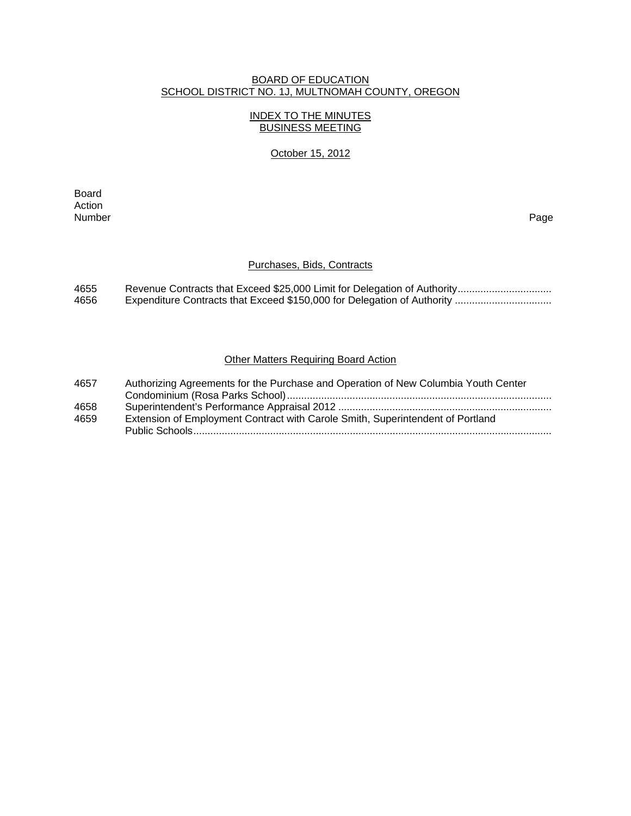### BOARD OF EDUCATION SCHOOL DISTRICT NO. 1J, MULTNOMAH COUNTY, OREGON

# INDEX TO THE MINUTES BUSINESS MEETING

### October 15, 2012

extending the control of the control of the control of the control of the control of the control of the control of the control of the control of the control of the control of the control of the control of the control of th Action<br>Number Number Page

### Purchases, Bids, Contracts

| 4655 |  |
|------|--|
| 4656 |  |

### **Other Matters Requiring Board Action**

| 4657 | Authorizing Agreements for the Purchase and Operation of New Columbia Youth Center |
|------|------------------------------------------------------------------------------------|
|      |                                                                                    |
| 4658 |                                                                                    |
| 4659 | Extension of Employment Contract with Carole Smith, Superintendent of Portland     |
|      |                                                                                    |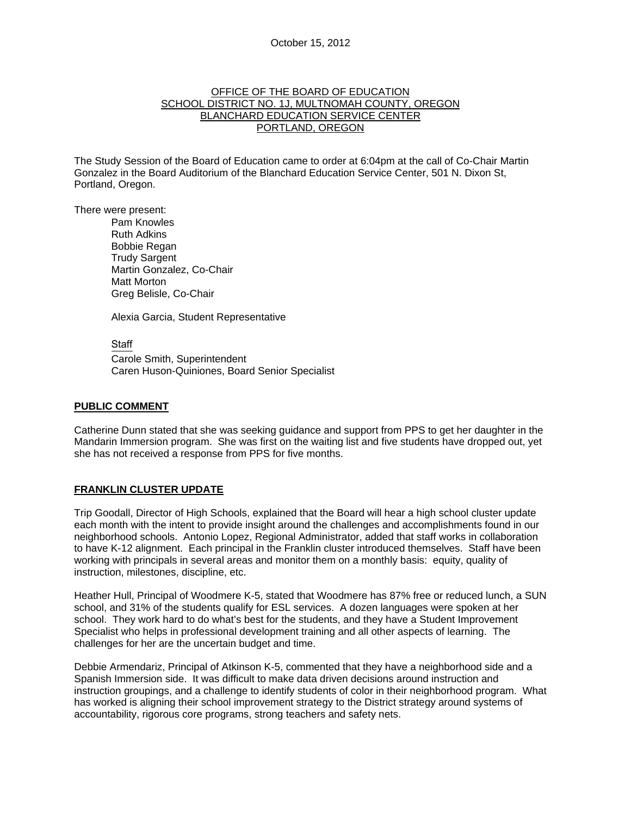#### OFFICE OF THE BOARD OF EDUCATION SCHOOL DISTRICT NO. 1J, MULTNOMAH COUNTY, OREGON BLANCHARD EDUCATION SERVICE CENTER PORTLAND, OREGON

The Study Session of the Board of Education came to order at 6:04pm at the call of Co-Chair Martin Gonzalez in the Board Auditorium of the Blanchard Education Service Center, 501 N. Dixon St, Portland, Oregon.

There were present: Pam Knowles

Ruth Adkins Bobbie Regan Trudy Sargent Martin Gonzalez, Co-Chair Matt Morton Greg Belisle, Co-Chair

Alexia Garcia, Student Representative

Staff

 Carole Smith, Superintendent Caren Huson-Quiniones, Board Senior Specialist

#### **PUBLIC COMMENT**

Catherine Dunn stated that she was seeking guidance and support from PPS to get her daughter in the Mandarin Immersion program. She was first on the waiting list and five students have dropped out, yet she has not received a response from PPS for five months.

# **FRANKLIN CLUSTER UPDATE**

Trip Goodall, Director of High Schools, explained that the Board will hear a high school cluster update each month with the intent to provide insight around the challenges and accomplishments found in our neighborhood schools. Antonio Lopez, Regional Administrator, added that staff works in collaboration to have K-12 alignment. Each principal in the Franklin cluster introduced themselves. Staff have been working with principals in several areas and monitor them on a monthly basis: equity, quality of instruction, milestones, discipline, etc.

Heather Hull, Principal of Woodmere K-5, stated that Woodmere has 87% free or reduced lunch, a SUN school, and 31% of the students qualify for ESL services. A dozen languages were spoken at her school. They work hard to do what's best for the students, and they have a Student Improvement Specialist who helps in professional development training and all other aspects of learning. The challenges for her are the uncertain budget and time.

Debbie Armendariz, Principal of Atkinson K-5, commented that they have a neighborhood side and a Spanish Immersion side. It was difficult to make data driven decisions around instruction and instruction groupings, and a challenge to identify students of color in their neighborhood program. What has worked is aligning their school improvement strategy to the District strategy around systems of accountability, rigorous core programs, strong teachers and safety nets.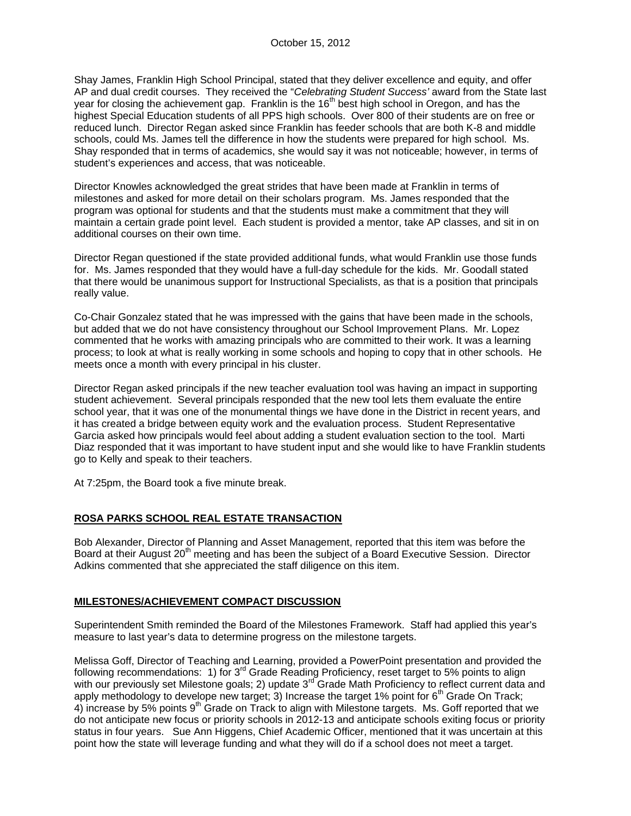Shay James, Franklin High School Principal, stated that they deliver excellence and equity, and offer AP and dual credit courses. They received the "*Celebrating Student Success'* award from the State last year for closing the achievement gap. Franklin is the 16<sup>th</sup> best high school in Oregon, and has the highest Special Education students of all PPS high schools. Over 800 of their students are on free or reduced lunch. Director Regan asked since Franklin has feeder schools that are both K-8 and middle schools, could Ms. James tell the difference in how the students were prepared for high school. Ms. Shay responded that in terms of academics, she would say it was not noticeable; however, in terms of student's experiences and access, that was noticeable.

Director Knowles acknowledged the great strides that have been made at Franklin in terms of milestones and asked for more detail on their scholars program. Ms. James responded that the program was optional for students and that the students must make a commitment that they will maintain a certain grade point level. Each student is provided a mentor, take AP classes, and sit in on additional courses on their own time.

Director Regan questioned if the state provided additional funds, what would Franklin use those funds for. Ms. James responded that they would have a full-day schedule for the kids. Mr. Goodall stated that there would be unanimous support for Instructional Specialists, as that is a position that principals really value.

Co-Chair Gonzalez stated that he was impressed with the gains that have been made in the schools, but added that we do not have consistency throughout our School Improvement Plans. Mr. Lopez commented that he works with amazing principals who are committed to their work. It was a learning process; to look at what is really working in some schools and hoping to copy that in other schools. He meets once a month with every principal in his cluster.

Director Regan asked principals if the new teacher evaluation tool was having an impact in supporting student achievement. Several principals responded that the new tool lets them evaluate the entire school year, that it was one of the monumental things we have done in the District in recent years, and it has created a bridge between equity work and the evaluation process. Student Representative Garcia asked how principals would feel about adding a student evaluation section to the tool. Marti Diaz responded that it was important to have student input and she would like to have Franklin students go to Kelly and speak to their teachers.

At 7:25pm, the Board took a five minute break.

#### **ROSA PARKS SCHOOL REAL ESTATE TRANSACTION**

Bob Alexander, Director of Planning and Asset Management, reported that this item was before the Board at their August 20<sup>th</sup> meeting and has been the subject of a Board Executive Session. Director Adkins commented that she appreciated the staff diligence on this item.

#### **MILESTONES/ACHIEVEMENT COMPACT DISCUSSION**

Superintendent Smith reminded the Board of the Milestones Framework. Staff had applied this year's measure to last year's data to determine progress on the milestone targets.

Melissa Goff, Director of Teaching and Learning, provided a PowerPoint presentation and provided the following recommendations: 1) for 3<sup>rd</sup> Grade Reading Proficiency, reset target to 5% points to align with our previously set Milestone goals; 2) update 3<sup>rd</sup> Grade Math Proficiency to reflect current data and apply methodology to develope new target; 3) Increase the target 1% point for 6<sup>th</sup> Grade On Track; 4) increase by 5% points  $9<sup>th</sup>$  Grade on Track to align with Milestone targets. Ms. Goff reported that we do not anticipate new focus or priority schools in 2012-13 and anticipate schools exiting focus or priority status in four years. Sue Ann Higgens, Chief Academic Officer, mentioned that it was uncertain at this point how the state will leverage funding and what they will do if a school does not meet a target.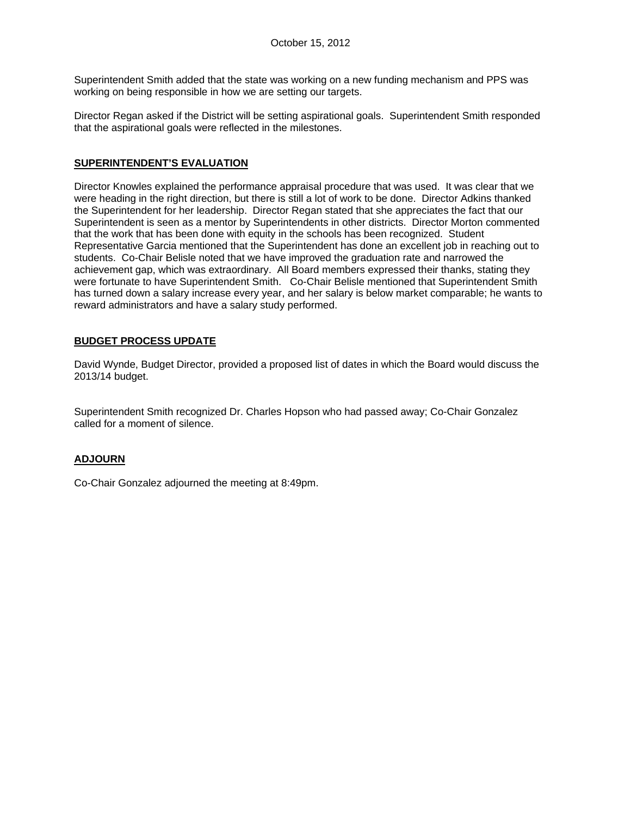Superintendent Smith added that the state was working on a new funding mechanism and PPS was working on being responsible in how we are setting our targets.

Director Regan asked if the District will be setting aspirational goals. Superintendent Smith responded that the aspirational goals were reflected in the milestones.

### **SUPERINTENDENT'S EVALUATION**

Director Knowles explained the performance appraisal procedure that was used. It was clear that we were heading in the right direction, but there is still a lot of work to be done. Director Adkins thanked the Superintendent for her leadership. Director Regan stated that she appreciates the fact that our Superintendent is seen as a mentor by Superintendents in other districts. Director Morton commented that the work that has been done with equity in the schools has been recognized. Student Representative Garcia mentioned that the Superintendent has done an excellent job in reaching out to students. Co-Chair Belisle noted that we have improved the graduation rate and narrowed the achievement gap, which was extraordinary. All Board members expressed their thanks, stating they were fortunate to have Superintendent Smith. Co-Chair Belisle mentioned that Superintendent Smith has turned down a salary increase every year, and her salary is below market comparable; he wants to reward administrators and have a salary study performed.

# **BUDGET PROCESS UPDATE**

David Wynde, Budget Director, provided a proposed list of dates in which the Board would discuss the 2013/14 budget.

Superintendent Smith recognized Dr. Charles Hopson who had passed away; Co-Chair Gonzalez called for a moment of silence.

# **ADJOURN**

Co-Chair Gonzalez adjourned the meeting at 8:49pm.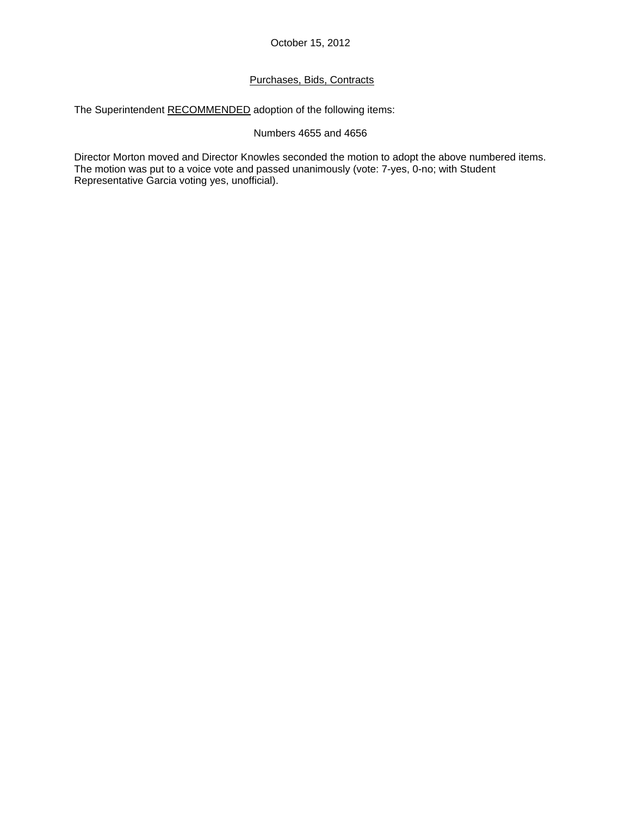# Purchases, Bids, Contracts

The Superintendent RECOMMENDED adoption of the following items:

### Numbers 4655 and 4656

Director Morton moved and Director Knowles seconded the motion to adopt the above numbered items. The motion was put to a voice vote and passed unanimously (vote: 7-yes, 0-no; with Student Representative Garcia voting yes, unofficial).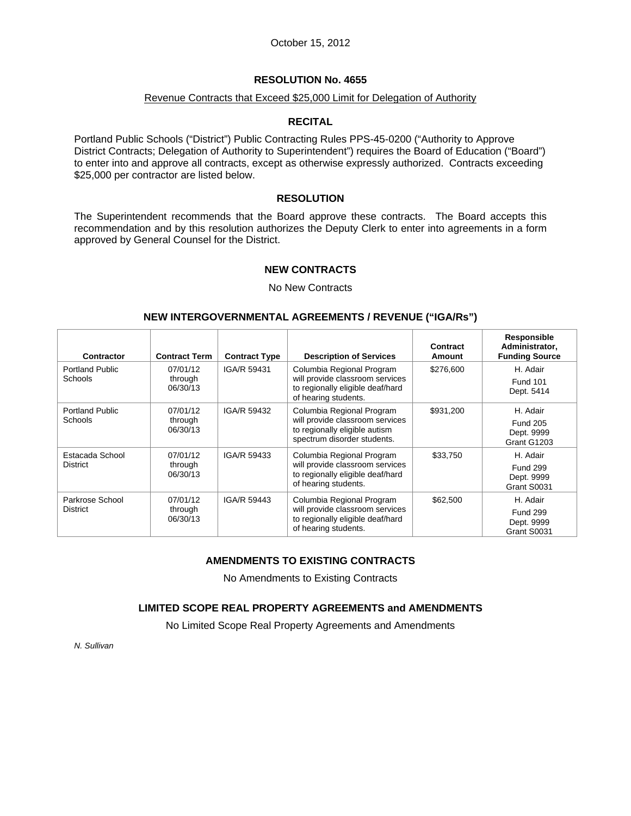#### Revenue Contracts that Exceed \$25,000 Limit for Delegation of Authority

# **RECITAL**

Portland Public Schools ("District") Public Contracting Rules PPS-45-0200 ("Authority to Approve District Contracts; Delegation of Authority to Superintendent") requires the Board of Education ("Board") to enter into and approve all contracts, except as otherwise expressly authorized. Contracts exceeding \$25,000 per contractor are listed below.

### **RESOLUTION**

The Superintendent recommends that the Board approve these contracts. The Board accepts this recommendation and by this resolution authorizes the Deputy Clerk to enter into agreements in a form approved by General Counsel for the District.

### **NEW CONTRACTS**

#### No New Contracts

### **NEW INTERGOVERNMENTAL AGREEMENTS / REVENUE ("IGA/Rs")**

| Contractor                               | <b>Contract Term</b>            | <b>Contract Type</b> | <b>Description of Services</b>                                                                                               | Contract<br>Amount | Responsible<br>Administrator,<br><b>Funding Source</b>   |
|------------------------------------------|---------------------------------|----------------------|------------------------------------------------------------------------------------------------------------------------------|--------------------|----------------------------------------------------------|
| <b>Portland Public</b><br><b>Schools</b> | 07/01/12<br>through<br>06/30/13 | IGA/R 59431          | Columbia Regional Program<br>will provide classroom services<br>to regionally eligible deaf/hard<br>of hearing students.     | \$276,600          | H. Adair<br><b>Fund 101</b><br>Dept. 5414                |
| <b>Portland Public</b><br>Schools        | 07/01/12<br>through<br>06/30/13 | IGA/R 59432          | Columbia Regional Program<br>will provide classroom services<br>to regionally eligible autism<br>spectrum disorder students. | \$931,200          | H. Adair<br><b>Fund 205</b><br>Dept. 9999<br>Grant G1203 |
| Estacada School<br>District              | 07/01/12<br>through<br>06/30/13 | IGA/R 59433          | Columbia Regional Program<br>will provide classroom services<br>to regionally eligible deaf/hard<br>of hearing students.     | \$33,750           | H. Adair<br><b>Fund 299</b><br>Dept. 9999<br>Grant S0031 |
| Parkrose School<br>District              | 07/01/12<br>through<br>06/30/13 | IGA/R 59443          | Columbia Regional Program<br>will provide classroom services<br>to regionally eligible deaf/hard<br>of hearing students.     | \$62,500           | H. Adair<br><b>Fund 299</b><br>Dept. 9999<br>Grant S0031 |

# **AMENDMENTS TO EXISTING CONTRACTS**

No Amendments to Existing Contracts

#### **LIMITED SCOPE REAL PROPERTY AGREEMENTS and AMENDMENTS**

No Limited Scope Real Property Agreements and Amendments

*N. Sullivan*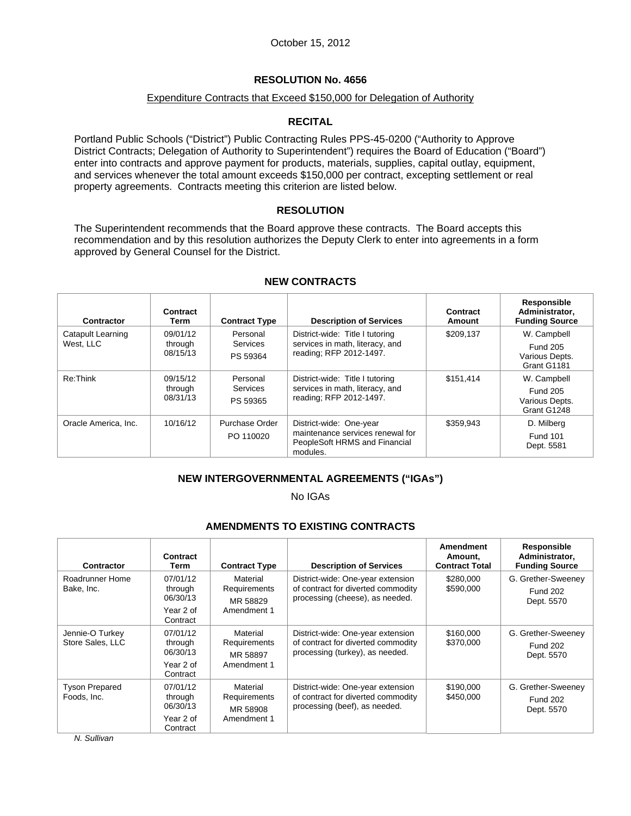### Expenditure Contracts that Exceed \$150,000 for Delegation of Authority

# **RECITAL**

Portland Public Schools ("District") Public Contracting Rules PPS-45-0200 ("Authority to Approve District Contracts; Delegation of Authority to Superintendent") requires the Board of Education ("Board") enter into contracts and approve payment for products, materials, supplies, capital outlay, equipment, and services whenever the total amount exceeds \$150,000 per contract, excepting settlement or real property agreements. Contracts meeting this criterion are listed below.

### **RESOLUTION**

The Superintendent recommends that the Board approve these contracts. The Board accepts this recommendation and by this resolution authorizes the Deputy Clerk to enter into agreements in a form approved by General Counsel for the District.

| Contractor                     | Contract<br>Term                | <b>Contract Type</b>             | <b>Description of Services</b>                                                                           | Contract<br>Amount | Responsible<br>Administrator,<br><b>Funding Source</b>          |
|--------------------------------|---------------------------------|----------------------------------|----------------------------------------------------------------------------------------------------------|--------------------|-----------------------------------------------------------------|
| Catapult Learning<br>West, LLC | 09/01/12<br>through<br>08/15/13 | Personal<br>Services<br>PS 59364 | District-wide: Title I tutoring<br>services in math, literacy, and<br>reading; RFP 2012-1497.            | \$209,137          | W. Campbell<br><b>Fund 205</b><br>Various Depts.<br>Grant G1181 |
| Re:Think                       | 09/15/12<br>through<br>08/31/13 | Personal<br>Services<br>PS 59365 | District-wide: Title I tutoring<br>services in math, literacy, and<br>reading; RFP 2012-1497.            | \$151.414          | W. Campbell<br><b>Fund 205</b><br>Various Depts.<br>Grant G1248 |
| Oracle America, Inc.           | 10/16/12                        | Purchase Order<br>PO 110020      | District-wide: One-year<br>maintenance services renewal for<br>PeopleSoft HRMS and Financial<br>modules. | \$359.943          | D. Milberg<br><b>Fund 101</b><br>Dept. 5581                     |

#### **NEW CONTRACTS**

# **NEW INTERGOVERNMENTAL AGREEMENTS ("IGAs")**

No IGAs

# **AMENDMENTS TO EXISTING CONTRACTS**

| <b>Contractor</b>                    | Contract<br>Term                                         | <b>Contract Type</b>                                | <b>Description of Services</b>                                                                             | <b>Amendment</b><br>Amount,<br><b>Contract Total</b> | Responsible<br>Administrator,<br><b>Funding Source</b> |
|--------------------------------------|----------------------------------------------------------|-----------------------------------------------------|------------------------------------------------------------------------------------------------------------|------------------------------------------------------|--------------------------------------------------------|
| Roadrunner Home<br>Bake, Inc.        | 07/01/12<br>through<br>06/30/13<br>Year 2 of<br>Contract | Material<br>Requirements<br>MR 58829<br>Amendment 1 | District-wide: One-year extension<br>of contract for diverted commodity<br>processing (cheese), as needed. | \$280,000<br>\$590,000                               | G. Grether-Sweeney<br><b>Fund 202</b><br>Dept. 5570    |
| Jennie-O Turkey<br>Store Sales, LLC  | 07/01/12<br>through<br>06/30/13<br>Year 2 of<br>Contract | Material<br>Requirements<br>MR 58897<br>Amendment 1 | District-wide: One-year extension<br>of contract for diverted commodity<br>processing (turkey), as needed. | \$160,000<br>\$370,000                               | G. Grether-Sweeney<br><b>Fund 202</b><br>Dept. 5570    |
| <b>Tyson Prepared</b><br>Foods, Inc. | 07/01/12<br>through<br>06/30/13<br>Year 2 of<br>Contract | Material<br>Requirements<br>MR 58908<br>Amendment 1 | District-wide: One-year extension<br>of contract for diverted commodity<br>processing (beef), as needed.   | \$190,000<br>\$450,000                               | G. Grether-Sweeney<br><b>Fund 202</b><br>Dept. 5570    |

*N. Sullivan*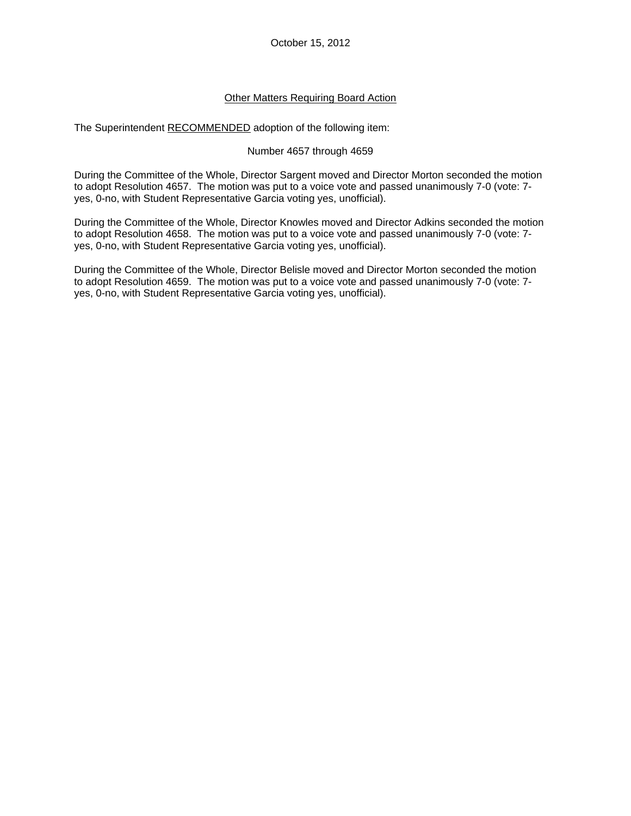# Other Matters Requiring Board Action

The Superintendent RECOMMENDED adoption of the following item:

### Number 4657 through 4659

During the Committee of the Whole, Director Sargent moved and Director Morton seconded the motion to adopt Resolution 4657. The motion was put to a voice vote and passed unanimously 7-0 (vote: 7 yes, 0-no, with Student Representative Garcia voting yes, unofficial).

During the Committee of the Whole, Director Knowles moved and Director Adkins seconded the motion to adopt Resolution 4658. The motion was put to a voice vote and passed unanimously 7-0 (vote: 7 yes, 0-no, with Student Representative Garcia voting yes, unofficial).

During the Committee of the Whole, Director Belisle moved and Director Morton seconded the motion to adopt Resolution 4659. The motion was put to a voice vote and passed unanimously 7-0 (vote: 7 yes, 0-no, with Student Representative Garcia voting yes, unofficial).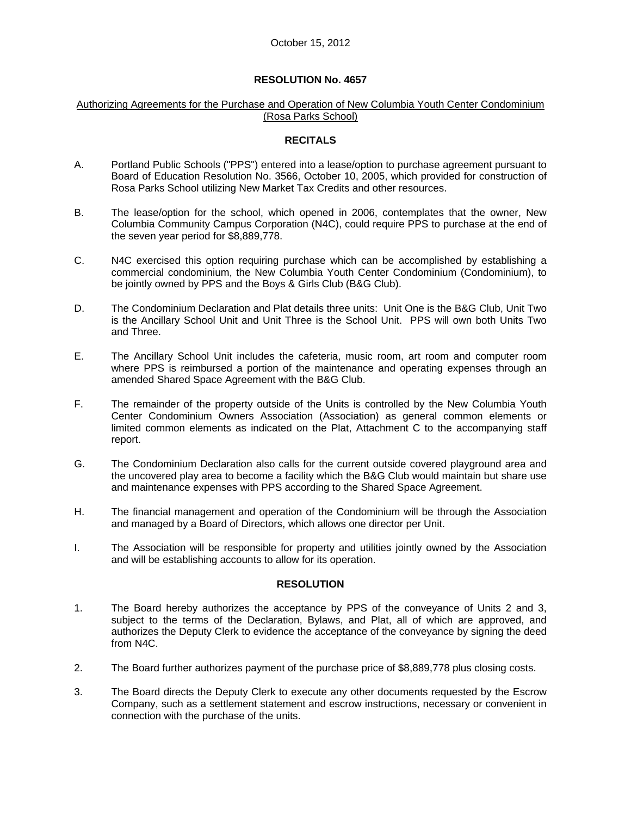#### Authorizing Agreements for the Purchase and Operation of New Columbia Youth Center Condominium (Rosa Parks School)

#### **RECITALS**

- A. Portland Public Schools ("PPS") entered into a lease/option to purchase agreement pursuant to Board of Education Resolution No. 3566, October 10, 2005, which provided for construction of Rosa Parks School utilizing New Market Tax Credits and other resources.
- B. The lease/option for the school, which opened in 2006, contemplates that the owner, New Columbia Community Campus Corporation (N4C), could require PPS to purchase at the end of the seven year period for \$8,889,778.
- C. N4C exercised this option requiring purchase which can be accomplished by establishing a commercial condominium, the New Columbia Youth Center Condominium (Condominium), to be jointly owned by PPS and the Boys & Girls Club (B&G Club).
- D. The Condominium Declaration and Plat details three units: Unit One is the B&G Club, Unit Two is the Ancillary School Unit and Unit Three is the School Unit. PPS will own both Units Two and Three.
- E. The Ancillary School Unit includes the cafeteria, music room, art room and computer room where PPS is reimbursed a portion of the maintenance and operating expenses through an amended Shared Space Agreement with the B&G Club.
- F. The remainder of the property outside of the Units is controlled by the New Columbia Youth Center Condominium Owners Association (Association) as general common elements or limited common elements as indicated on the Plat, Attachment C to the accompanying staff report.
- G. The Condominium Declaration also calls for the current outside covered playground area and the uncovered play area to become a facility which the B&G Club would maintain but share use and maintenance expenses with PPS according to the Shared Space Agreement.
- H. The financial management and operation of the Condominium will be through the Association and managed by a Board of Directors, which allows one director per Unit.
- I. The Association will be responsible for property and utilities jointly owned by the Association and will be establishing accounts to allow for its operation.

### **RESOLUTION**

- 1. The Board hereby authorizes the acceptance by PPS of the conveyance of Units 2 and 3, subject to the terms of the Declaration, Bylaws, and Plat, all of which are approved, and authorizes the Deputy Clerk to evidence the acceptance of the conveyance by signing the deed from N4C.
- 2. The Board further authorizes payment of the purchase price of \$8,889,778 plus closing costs.
- 3. The Board directs the Deputy Clerk to execute any other documents requested by the Escrow Company, such as a settlement statement and escrow instructions, necessary or convenient in connection with the purchase of the units.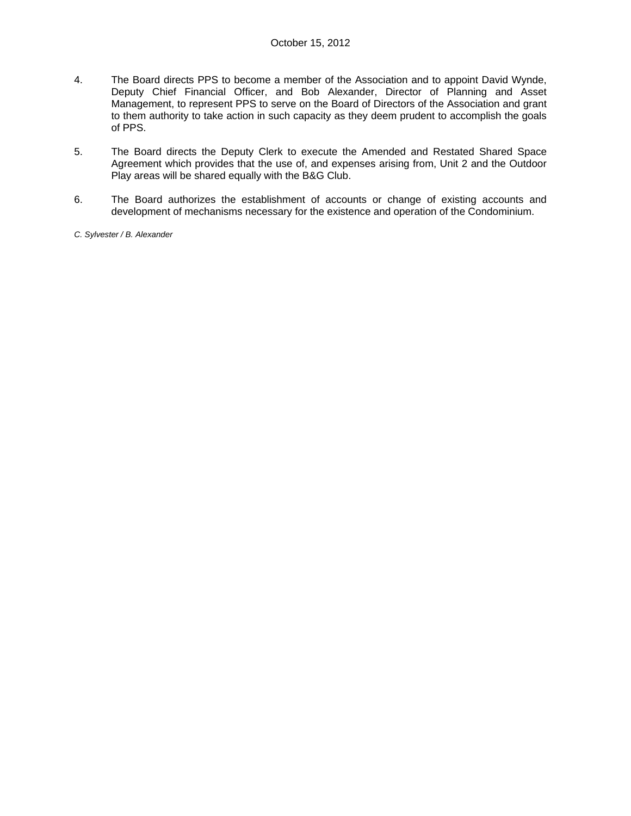- 4. The Board directs PPS to become a member of the Association and to appoint David Wynde, Deputy Chief Financial Officer, and Bob Alexander, Director of Planning and Asset Management, to represent PPS to serve on the Board of Directors of the Association and grant to them authority to take action in such capacity as they deem prudent to accomplish the goals of PPS.
- 5. The Board directs the Deputy Clerk to execute the Amended and Restated Shared Space Agreement which provides that the use of, and expenses arising from, Unit 2 and the Outdoor Play areas will be shared equally with the B&G Club.
- 6. The Board authorizes the establishment of accounts or change of existing accounts and development of mechanisms necessary for the existence and operation of the Condominium.
- *C. Sylvester / B. Alexander*